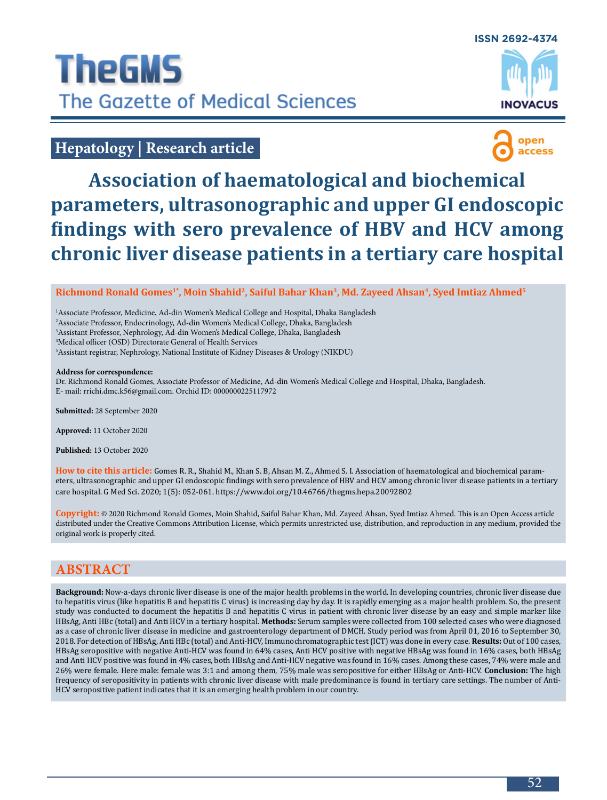

# **Hepatology | Research article**



# **Association of haematological and biochemical parameters, ultrasonographic and upper GI endoscopic findings with sero prevalence of HBV and HCV among chronic liver disease patients in a tertiary care hospital**

#### **Richmond Ronald Gomes1\*, Moin Shahid2, Saiful Bahar Khan<sup>3</sup>, Md. Zayeed Ahsan<sup>4</sup>, Syed Imtiaz Ahmed<sup>5</sup>**

<sup>1</sup> Associate Professor, Medicine, Ad-din Women's Medical College and Hospital, Dhaka Bangladesh

2 Associate Professor, Endocrinology, Ad-din Women's Medical College, Dhaka, Bangladesh

3 Assistant Professor, Nephrology, Ad-din Women's Medical College, Dhaka, Bangladesh

4 Medical officer (OSD) Directorate General of Health Services

5 Assistant registrar, Nephrology, National Institute of Kidney Diseases & Urology (NIKDU)

#### **Address for correspondence:**

Dr. Richmond Ronald Gomes, Associate Professor of Medicine, Ad-din Women's Medical College and Hospital, Dhaka, Bangladesh. E- mail: [rrichi.dmc.k56@gmail.com](mailto:rrichi.dmc.k56%40gmail.com?subject=). Orchid ID: 0000000225117972

**Submitted:** 28 September 2020

**Approved:** 11 October 2020

**Published:** 13 October 2020

**How to cite this article:** Gomes R. R., Shahid M., Khan S. B, Ahsan M. Z., Ahmed S. I. Association of haematological and biochemical parameters, ultrasonographic and upper GI endoscopic findings with sero prevalence of HBV and HCV among chronic liver disease patients in a tertiary care hospital. G Med Sci. 2020; 1(5): 052-061.<https://www.doi.org/10.46766/thegms.hepa.20092802>

**Copyright:** © 2020 Richmond Ronald Gomes, Moin Shahid, Saiful Bahar Khan, Md. Zayeed Ahsan, Syed Imtiaz Ahmed. This is an Open Access article distributed under the Creative Commons Attribution License, which permits unrestricted use, distribution, and reproduction in any medium, provided the original work is properly cited.

## **ABSTRACT**

**Background:** Now-a-days chronic liver disease is one of the major health problems in the world. In developing countries, chronic liver disease due to hepatitis virus (like hepatitis B and hepatitis C virus) is increasing day by day. It is rapidly emerging as a major health problem. So, the present study was conducted to document the hepatitis B and hepatitis C virus in patient with chronic liver disease by an easy and simple marker like HBsAg, Anti HBc (total) and Anti HCV in a tertiary hospital. **Methods:** Serum samples were collected from 100 selected cases who were diagnosed as a case of chronic liver disease in medicine and gastroenterology department of DMCH. Study period was from April 01, 2016 to September 30, 2018. For detection of HBsAg, Anti HBc (total) and Anti-HCV, Immunochromatographic test (ICT) was done in every case. **Results:** Out of 100 cases, HBsAg seropositive with negative Anti-HCV was found in 64% cases, Anti HCV positive with negative HBsAg was found in 16% cases, both HBsAg and Anti HCV positive was found in 4% cases, both HBsAg and Anti-HCV negative was found in 16% cases. Among these cases, 74% were male and 26% were female. Here male: female was 3:1 and among them, 75% male was seropositive for either HBsAg or Anti-HCV. **Conclusion:** The high frequency of seropositivity in patients with chronic liver disease with male predominance is found in tertiary care settings. The number of Anti-HCV seropositive patient indicates that it is an emerging health problem in our country.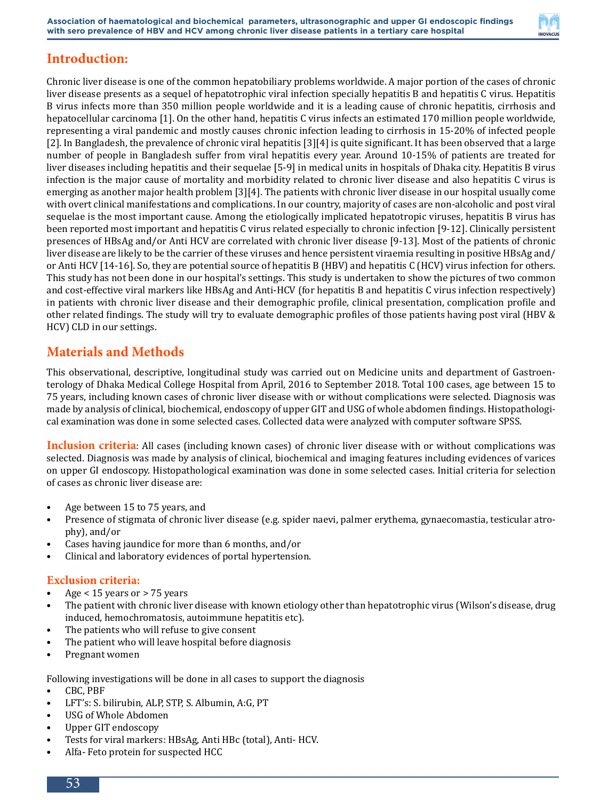

## **Introduction:**

Chronic liver disease is one of the common hepatobiliary problems worldwide. A major portion of the cases of chronic liver disease presents as a sequel of hepatotrophic viral infection specially hepatitis B and hepatitis C virus. Hepatitis B virus infects more than 350 million people worldwide and it is a leading cause of chronic hepatitis, cirrhosis and hepatocellular carcinoma [1]. On the other hand, hepatitis C virus infects an estimated 170 million people worldwide, representing a viral pandemic and mostly causes chronic infection leading to cirrhosis in 15-20% of infected people [2]. In Bangladesh, the prevalence of chronic viral hepatitis [3][4] is quite significant. It has been observed that a large number of people in Bangladesh suffer from viral hepatitis every year. Around 10-15% of patients are treated for liver diseases including hepatitis and their sequelae [5-9] in medical units in hospitals of Dhaka city. Hepatitis B virus infection is the major cause of mortality and morbidity related to chronic liver disease and also hepatitis C virus is emerging as another major health problem [3][4]. The patients with chronic liver disease in our hospital usually come with overt clinical manifestations and complications. In our country, majority of cases are non-alcoholic and post viral sequelae is the most important cause. Among the etiologically implicated hepatotropic viruses, hepatitis B virus has been reported most important and hepatitis C virus related especially to chronic infection [9-12]. Clinically persistent presences of HBsAg and/or Anti HCV are correlated with chronic liver disease [9-13]. Most of the patients of chronic liver disease are likely to be the carrier of these viruses and hence persistent viraemia resulting in positive HBsAg and/ or Anti HCV [14-16]. So, they are potential source of hepatitis B (HBV) and hepatitis C (HCV) virus infection for others. This study has not been done in our hospital's settings. This study is undertaken to show the pictures of two common and cost-effective viral markers like HBsAg and Anti-HCV (for hepatitis B and hepatitis C virus infection respectively) in patients with chronic liver disease and their demographic profile, clinical presentation, complication profile and other related findings. The study will try to evaluate demographic profiles of those patients having post viral (HBV & HCV) CLD in our settings.

## **Materials and Methods**

This observational, descriptive, longitudinal study was carried out on Medicine units and department of Gastroenterology of Dhaka Medical College Hospital from April, 2016 to September 2018. Total 100 cases, age between 15 to 75 years, including known cases of chronic liver disease with or without complications were selected. Diagnosis was made by analysis of clinical, biochemical, endoscopy of upper GIT and USG of whole abdomen findings. Histopathological examination was done in some selected cases. Collected data were analyzed with computer software SPSS.

**Inclusion criteria**: All cases (including known cases) of chronic liver disease with or without complications was selected. Diagnosis was made by analysis of clinical, biochemical and imaging features including evidences of varices on upper GI endoscopy. Histopathological examination was done in some selected cases. Initial criteria for selection of cases as chronic liver disease are:

- Age between 15 to 75 years, and
- Presence of stigmata of chronic liver disease (e.g. spider naevi, palmer erythema, gynaecomastia, testicular atrophy), and/or
- Cases having jaundice for more than 6 months, and/or
- Clinical and laboratory evidences of portal hypertension.

#### **Exclusion criteria:**

- Age < 15 years or > 75 years
- The patient with chronic liver disease with known etiology other than hepatotrophic virus (Wilson's disease, drug induced, hemochromatosis, autoimmune hepatitis etc).
- The patients who will refuse to give consent
- The patient who will leave hospital before diagnosis
- Pregnant women

Following investigations will be done in all cases to support the diagnosis<br>• CBC PBF

- CBC, PBF
- LFT's: S. bilirubin, ALP, STP, S. Albumin, A:G, PT<br>• USG of Whole Abdomen
- USG of Whole Abdomen
- Upper GIT endoscopy
- Tests for viral markers: HBsAg, Anti HBc (total), Anti- HCV.
- Alfa- Feto protein for suspected HCC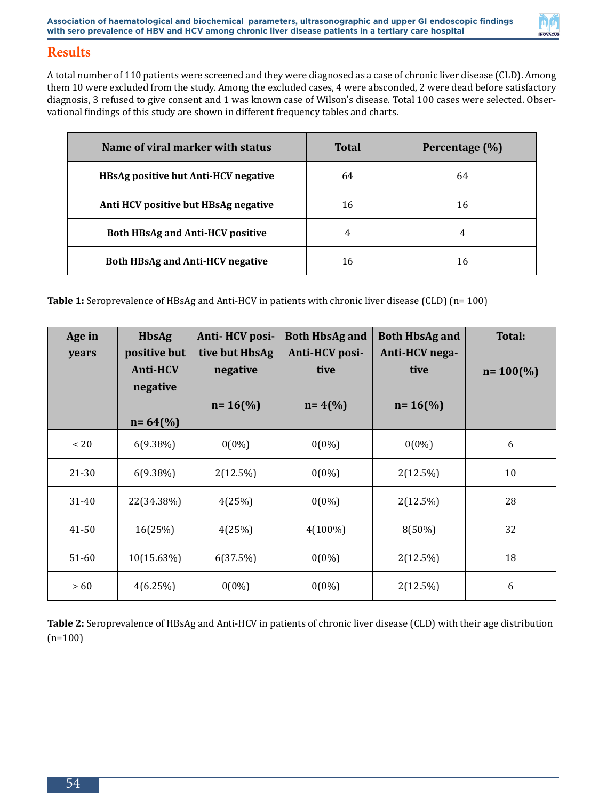

## **Results**

A total number of 110 patients were screened and they were diagnosed as a case of chronic liver disease (CLD). Among them 10 were excluded from the study. Among the excluded cases, 4 were absconded, 2 were dead before satisfactory diagnosis, 3 refused to give consent and 1 was known case of Wilson's disease. Total 100 cases were selected. Observational findings of this study are shown in different frequency tables and charts.

| Name of viral marker with status            | <b>Total</b> | Percentage (%) |
|---------------------------------------------|--------------|----------------|
| <b>HBsAg positive but Anti-HCV negative</b> | 64           | 64             |
| Anti HCV positive but HBsAg negative        | 16           | 16             |
| <b>Both HBsAg and Anti-HCV positive</b>     | 4            | 4              |
| <b>Both HBsAg and Anti-HCV negative</b>     | 16           | 16             |

**Table 1:** Seroprevalence of HBsAg and Anti-HCV in patients with chronic liver disease (CLD) (n= 100)

| Age in<br>years | <b>HbsAg</b><br>positive but | Anti-HCV posi-<br>tive but HbsAg | <b>Both HbsAg and</b><br>Anti-HCV posi- | <b>Both HbsAg and</b><br>Anti-HCV nega- | <b>Total:</b>        |
|-----------------|------------------------------|----------------------------------|-----------------------------------------|-----------------------------------------|----------------------|
|                 | <b>Anti-HCV</b><br>negative  | negative                         | tive                                    | tive                                    | $n = 100\frac{6}{6}$ |
|                 | $n = 64$ (%)                 | $n = 16\frac{6}{6}$              | $n = 4(%$                               | $n = 16\frac{6}{6}$                     |                      |
| $~<$ 20         | $6(9.38\%)$                  | $0(0\%)$                         | $0(0\%)$                                | $0(0\%)$                                | 6                    |
| 21-30           | $6(9.38\%)$                  | $2(12.5\%)$                      | $0(0\%)$                                | 2(12.5%)                                | 10                   |
| 31-40           | 22(34.38%)                   | 4(25%)                           | $0(0\%)$                                | 2(12.5%)                                | 28                   |
| 41-50           | 16(25%)                      | 4(25%)                           | $4(100\%)$                              | 8(50%)                                  | 32                   |
| $51 - 60$       | 10(15.63%)                   | 6(37.5%)                         | $0(0\%)$                                | 2(12.5%)                                | 18                   |
| >60             | 4(6.25%)                     | $0(0\%)$                         | $0(0\%)$                                | 2(12.5%)                                | 6                    |

**Table 2:** Seroprevalence of HBsAg and Anti-HCV in patients of chronic liver disease (CLD) with their age distribution  $(n=100)$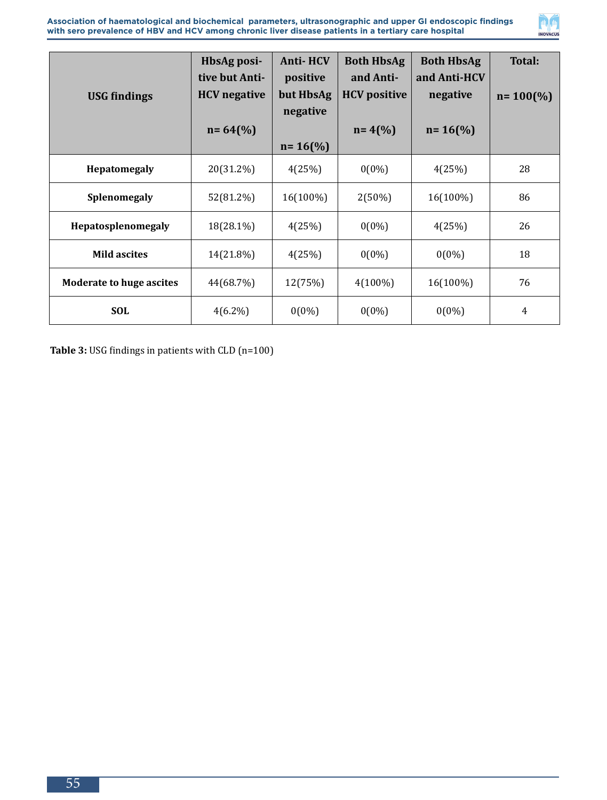

| <b>USG</b> findings             | HbsAg posi-<br>tive but Anti-<br><b>HCV</b> negative | <b>Anti-HCV</b><br>positive<br>but HbsAg<br>negative | <b>Both HbsAg</b><br>and Anti-<br><b>HCV</b> positive | <b>Both HbsAg</b><br>and Anti-HCV<br>negative | Total:<br>$n = 100\frac{6}{6}$ |
|---------------------------------|------------------------------------------------------|------------------------------------------------------|-------------------------------------------------------|-----------------------------------------------|--------------------------------|
|                                 | $n = 64$ (%)                                         | $n = 16$ (%)                                         | $n = 4(%$                                             | $n = 16\frac{6}{6}$                           |                                |
| Hepatomegaly                    | 20(31.2%)                                            | 4(25%)                                               | $0(0\%)$                                              | 4(25%)                                        | 28                             |
| Splenomegaly                    | 52(81.2%)                                            | 16(100%)                                             | $2(50\%)$                                             | 16(100%)                                      | 86                             |
| Hepatosplenomegaly              | 18(28.1%)                                            | 4(25%)                                               | $0(0\%)$                                              | 4(25%)                                        | 26                             |
| <b>Mild ascites</b>             | 14(21.8%)                                            | 4(25%)                                               | $0(0\%)$                                              | $0(0\%)$                                      | 18                             |
| <b>Moderate to huge ascites</b> | 44(68.7%)                                            | 12(75%)                                              | $4(100\%)$                                            | 16(100%)                                      | 76                             |
| <b>SOL</b>                      | $4(6.2\%)$                                           | $0(0\%)$                                             | $0(0\%)$                                              | $0(0\%)$                                      | $\overline{4}$                 |

**Table 3:** USG findings in patients with CLD (n=100)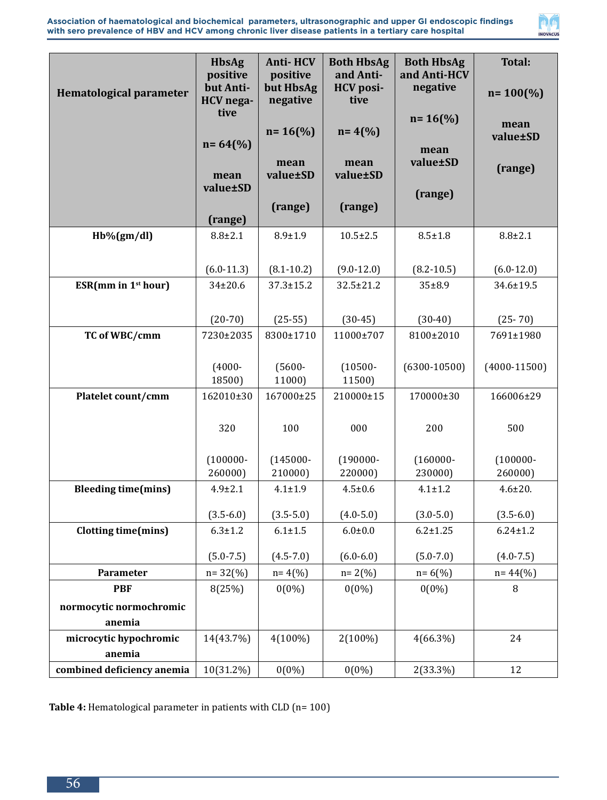



| <b>Hematological parameter</b>  | <b>HbsAg</b><br>positive<br>but Anti-<br><b>HCV</b> nega- | <b>Anti-HCV</b><br>positive<br>but HbsAg<br>negative | <b>Both HbsAg</b><br>and Anti-<br><b>HCV</b> posi-<br>tive | <b>Both HbsAg</b><br>and Anti-HCV<br>negative | <b>Total:</b><br>$n = 100\frac{6}{6}$ |
|---------------------------------|-----------------------------------------------------------|------------------------------------------------------|------------------------------------------------------------|-----------------------------------------------|---------------------------------------|
|                                 | tive<br>$n = 64$ (%)                                      | $n = 16$ (%)                                         | $n = 4(%$                                                  | $n = 16$ (%)<br>mean                          | mean<br>value±SD                      |
|                                 | mean<br>value±SD                                          | mean<br>value±SD                                     | mean<br>value±SD                                           | value±SD<br>(range)                           | (range)                               |
|                                 | (range)                                                   | (range)                                              | (range)                                                    |                                               |                                       |
| $Hb\%(gm/dl)$                   | $8.8 \pm 2.1$                                             | $8.9 \pm 1.9$                                        | $10.5 \pm 2.5$                                             | $8.5 \pm 1.8$                                 | $8.8 + 2.1$                           |
|                                 |                                                           |                                                      |                                                            |                                               |                                       |
|                                 | $(6.0-11.3)$                                              | $(8.1 - 10.2)$                                       | $(9.0 - 12.0)$                                             | $(8.2 - 10.5)$                                | $(6.0-12.0)$                          |
| ESR(mm in 1 <sup>st</sup> hour) | $34 \pm 20.6$                                             | $37.3 \pm 15.2$                                      | $32.5 \pm 21.2$                                            | $35 + 8.9$                                    | 34.6±19.5                             |
|                                 |                                                           |                                                      |                                                            |                                               |                                       |
|                                 | $(20-70)$                                                 | $(25-55)$                                            | $(30-45)$                                                  | $(30-40)$                                     | $(25 - 70)$                           |
| TC of WBC/cmm                   | 7230±2035                                                 | 8300±1710                                            | 11000±707                                                  | 8100±2010                                     | 7691±1980                             |
|                                 | $(4000 -$<br>18500)                                       | $(5600 -$<br>11000)                                  | $(10500 -$<br>11500)                                       | $(6300 - 10500)$                              | $(4000 - 11500)$                      |
| Platelet count/cmm              | 162010±30                                                 | 167000±25                                            | 210000±15                                                  | 170000±30                                     | 166006±29                             |
|                                 | 320                                                       | 100                                                  | 000                                                        | 200                                           | 500                                   |
|                                 | $(100000 -$                                               | $(145000 -$                                          | $(190000 -$                                                | $(160000 -$                                   | $(100000 -$                           |
|                                 | 260000)                                                   | 210000)                                              | 220000)                                                    | 230000)                                       | 260000)                               |
| <b>Bleeding time(mins)</b>      | $4.9 \pm 2.1$                                             | $4.1 \pm 1.9$                                        | $4.5 \pm 0.6$                                              | $4.1 \pm 1.2$                                 | $4.6 \pm 20.$                         |
|                                 | $(3.5 - 6.0)$                                             | $(3.5 - 5.0)$                                        | $(4.0 - 5.0)$                                              | $(3.0 - 5.0)$                                 | $(3.5 - 6.0)$                         |
| <b>Clotting time(mins)</b>      | $6.3 \pm 1.2$                                             | $6.1 \pm 1.5$                                        | $6.0 + 0.0$                                                | $6.2 \pm 1.25$                                | $6.24 \pm 1.2$                        |
|                                 | $(5.0 - 7.5)$                                             | $(4.5 - 7.0)$                                        | $(6.0 - 6.0)$                                              | $(5.0 - 7.0)$                                 | $(4.0 - 7.5)$                         |
| Parameter                       | $n = 32(%)$                                               | $n = 4(%$                                            | $n = 2(%)$                                                 | $n = 6(%)$                                    | $n = 44$ (%)                          |
| <b>PBF</b>                      | 8(25%)                                                    | $0(0\%)$                                             | $0(0\%)$                                                   | $0(0\%)$                                      | 8                                     |
| normocytic normochromic         |                                                           |                                                      |                                                            |                                               |                                       |
| anemia                          |                                                           |                                                      |                                                            |                                               |                                       |
| microcytic hypochromic          | 14(43.7%)                                                 | $4(100\%)$                                           | 2(100%)                                                    | $4(66.3\%)$                                   | 24                                    |
| anemia                          |                                                           |                                                      |                                                            |                                               |                                       |
| combined deficiency anemia      | 10(31.2%)                                                 | $0(0\%)$                                             | $0(0\%)$                                                   | 2(33.3%)                                      | 12                                    |

**Table 4:** Hematological parameter in patients with CLD (n= 100)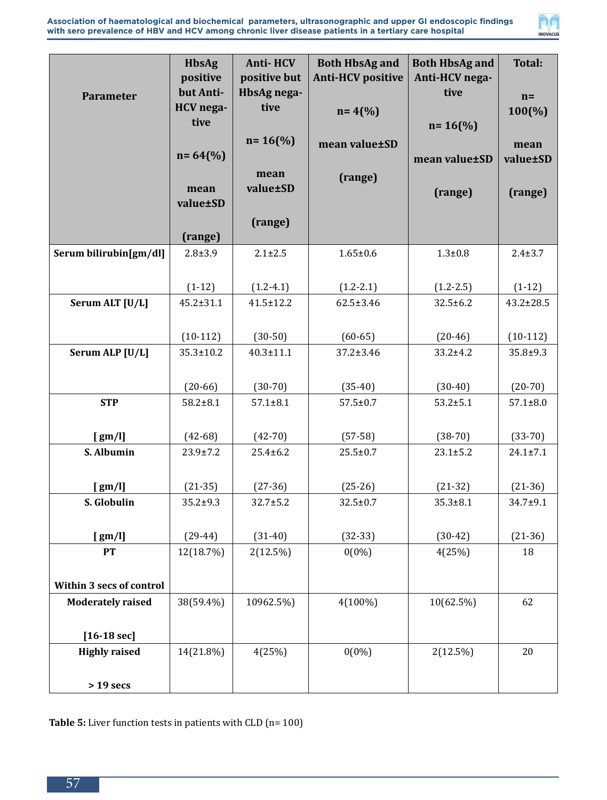

|                          | <b>HbsAg</b>    | <b>Anti-HCV</b>     | <b>Both HbsAg and</b>    | <b>Both HbsAg and</b> | <b>Total:</b>    |
|--------------------------|-----------------|---------------------|--------------------------|-----------------------|------------------|
|                          | positive        | positive but        | <b>Anti-HCV positive</b> | Anti-HCV nega-        |                  |
| Parameter                | but Anti-       | HbsAg nega-         |                          | tive                  | $n=$             |
|                          | HCV nega-       | tive                | $n = 4(%$                |                       | $100\frac{6}{9}$ |
|                          | tive            |                     |                          | $n = 16$ (%)          |                  |
|                          |                 | $n = 16\frac{6}{6}$ | mean value±SD            |                       | mean             |
|                          | $n = 64$ (%)    |                     |                          | mean value±SD         | value±SD         |
|                          |                 | mean                | (range)                  |                       |                  |
|                          | mean            | value±SD            |                          | (range)               | (range)          |
|                          | value±SD        |                     |                          |                       |                  |
|                          |                 | (range)             |                          |                       |                  |
|                          | (range)         |                     |                          |                       |                  |
| Serum bilirubin[gm/dl]   | $2.8 + 3.9$     | $2.1 \pm 2.5$       | $1.65 \pm 0.6$           | $1.3 + 0.8$           | $2.4 + 3.7$      |
|                          |                 |                     |                          |                       |                  |
|                          | $(1-12)$        | $(1.2 - 4.1)$       | $(1.2 - 2.1)$            | $(1.2 - 2.5)$         | $(1-12)$         |
| Serum ALT [U/L]          | $45.2 \pm 31.1$ | $41.5 \pm 12.2$     | $62.5 \pm 3.46$          | $32.5 \pm 6.2$        | $43.2 \pm 28.5$  |
|                          |                 |                     |                          |                       |                  |
|                          | $(10-112)$      | $(30-50)$           | $(60 - 65)$              | $(20-46)$             | $(10-112)$       |
| Serum ALP [U/L]          | $35.3 \pm 10.2$ | $40.3 \pm 11.1$     | $37.2 \pm 3.46$          | 33.2±4.2              | $35.8 + 9.3$     |
|                          |                 |                     |                          |                       |                  |
|                          | $(20-66)$       | $(30-70)$           | $(35-40)$                | $(30-40)$             | $(20-70)$        |
| <b>STP</b>               | $58.2 + 8.1$    | $57.1 \pm 8.1$      | $57.5 \pm 0.7$           | $53.2 \pm 5.1$        | $57.1 \pm 8.0$   |
|                          |                 |                     |                          |                       |                  |
| [gm/l]                   | $(42-68)$       | $(42-70)$           | $(57-58)$                | $(38-70)$             | $(33-70)$        |
| S. Albumin               | $23.9 \pm 7.2$  | $25.4 \pm 6.2$      | $25.5 \pm 0.7$           | $23.1 \pm 5.2$        | $24.1 \pm 7.1$   |
|                          |                 |                     |                          |                       |                  |
| [gm/l]                   | $(21-35)$       | $(27-36)$           | $(25-26)$                | $(21-32)$             | $(21-36)$        |
| S. Globulin              | $35.2 + 9.3$    | $32.7 \pm 5.2$      | $32.5 \pm 0.7$           | $35.3 \pm 8.1$        | 34.7±9.1         |
|                          |                 |                     |                          |                       |                  |
| [gm/l]                   | $(29-44)$       | $(31-40)$           | $(32-33)$                | $(30-42)$             | $(21-36)$        |
| <b>PT</b>                | 12(18.7%)       | 2(12.5%)            | $0(0\%)$                 | 4(25%)                | 18               |
|                          |                 |                     |                          |                       |                  |
|                          |                 |                     |                          |                       |                  |
| Within 3 secs of control |                 |                     |                          |                       |                  |
| <b>Moderately raised</b> | 38(59.4%)       | 10962.5%)           | $4(100\%)$               | 10(62.5%)             | 62               |
|                          |                 |                     |                          |                       |                  |
| $[16-18 \text{ sec}]$    |                 |                     |                          |                       |                  |
| <b>Highly raised</b>     | 14(21.8%)       | 4(25%)              | $0(0\%)$                 | 2(12.5%)              | 20               |
|                          |                 |                     |                          |                       |                  |
| $> 19$ secs              |                 |                     |                          |                       |                  |

**Table 5:** Liver function tests in patients with CLD (n= 100)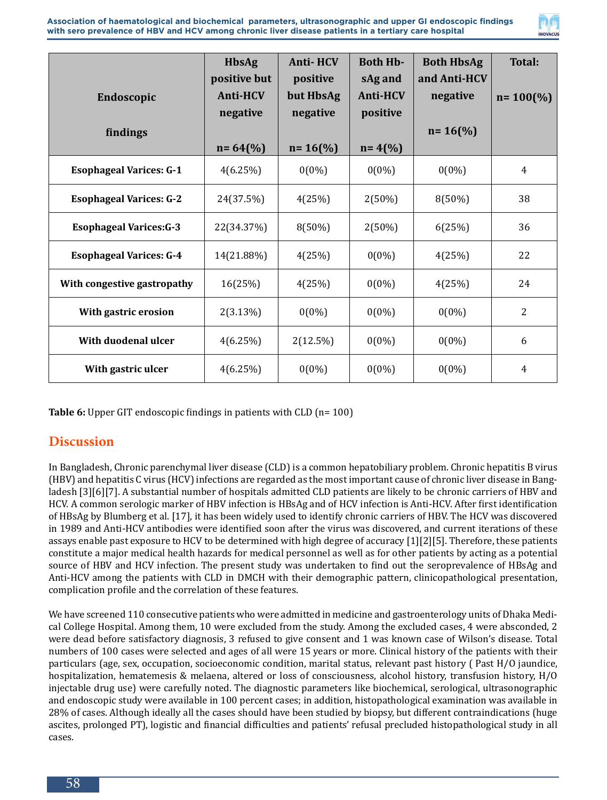

|                                | <b>HbsAg</b><br>positive but | <b>Anti-HCV</b><br>positive | <b>Both Hb-</b><br>sAg and | <b>Both HbsAg</b><br>and Anti-HCV | <b>Total:</b>        |
|--------------------------------|------------------------------|-----------------------------|----------------------------|-----------------------------------|----------------------|
| Endoscopic                     | <b>Anti-HCV</b>              | but HbsAg                   | <b>Anti-HCV</b>            | negative                          | $n = 100\frac{6}{6}$ |
| findings                       | negative                     | negative                    | positive                   | $n = 16\frac{6}{6}$               |                      |
|                                | $n = 64$ (%)                 | $n = 16$ (%)                | $n = 4(%$                  |                                   |                      |
| <b>Esophageal Varices: G-1</b> | 4(6.25%)                     | $0(0\%)$                    | $0(0\%)$                   | $0(0\%)$                          | $\overline{4}$       |
| <b>Esophageal Varices: G-2</b> | 24(37.5%)                    | 4(25%)                      | 2(50%)                     | 8(50%)                            | 38                   |
| <b>Esophageal Varices: G-3</b> | 22(34.37%)                   | 8(50%)                      | $2(50\%)$                  | 6(25%)                            | 36                   |
| <b>Esophageal Varices: G-4</b> | 14(21.88%)                   | 4(25%)                      | $0(0\%)$                   | 4(25%)                            | 22                   |
| With congestive gastropathy    | 16(25%)                      | 4(25%)                      | $0(0\%)$                   | 4(25%)                            | 24                   |
| With gastric erosion           | $2(3.13\%)$                  | $0(0\%)$                    | $0(0\%)$                   | $0(0\%)$                          | $\overline{2}$       |
| With duodenal ulcer            | 4(6.25%)                     | 2(12.5%)                    | $0(0\%)$                   | $0(0\%)$                          | 6                    |
| With gastric ulcer             | 4(6.25%)                     | $0(0\%)$                    | $0(0\%)$                   | $0(0\%)$                          | $\overline{4}$       |

**Table 6:** Upper GIT endoscopic findings in patients with CLD (n= 100)

## **Discussion**

In Bangladesh, Chronic parenchymal liver disease (CLD) is a common hepatobiliary problem. Chronic hepatitis B virus (HBV) and hepatitis C virus (HCV) infections are regarded as the most important cause of chronic liver disease in Bangladesh [3][6][7]. A substantial number of hospitals admitted CLD patients are likely to be chronic carriers of HBV and HCV. A common serologic marker of HBV infection is HBsAg and of HCV infection is Anti-HCV. After first identification of HBsAg by Blumberg et al. [17], it has been widely used to identify chronic carriers of HBV. The HCV was discovered in 1989 and Anti-HCV antibodies were identified soon after the virus was discovered, and current iterations of these assays enable past exposure to HCV to be determined with high degree of accuracy [1][2][5]. Therefore, these patients constitute a major medical health hazards for medical personnel as well as for other patients by acting as a potential source of HBV and HCV infection. The present study was undertaken to find out the seroprevalence of HBsAg and Anti-HCV among the patients with CLD in DMCH with their demographic pattern, clinicopathological presentation, complication profile and the correlation of these features.

We have screened 110 consecutive patients who were admitted in medicine and gastroenterology units of Dhaka Medical College Hospital. Among them, 10 were excluded from the study. Among the excluded cases, 4 were absconded, 2 were dead before satisfactory diagnosis, 3 refused to give consent and 1 was known case of Wilson's disease. Total numbers of 100 cases were selected and ages of all were 15 years or more. Clinical history of the patients with their particulars (age, sex, occupation, socioeconomic condition, marital status, relevant past history ( Past H/O jaundice, hospitalization, hematemesis & melaena, altered or loss of consciousness, alcohol history, transfusion history, H/O injectable drug use) were carefully noted. The diagnostic parameters like biochemical, serological, ultrasonographic and endoscopic study were available in 100 percent cases; in addition, histopathological examination was available in 28% of cases. Although ideally all the cases should have been studied by biopsy, but different contraindications (huge ascites, prolonged PT), logistic and financial difficulties and patients' refusal precluded histopathological study in all cases.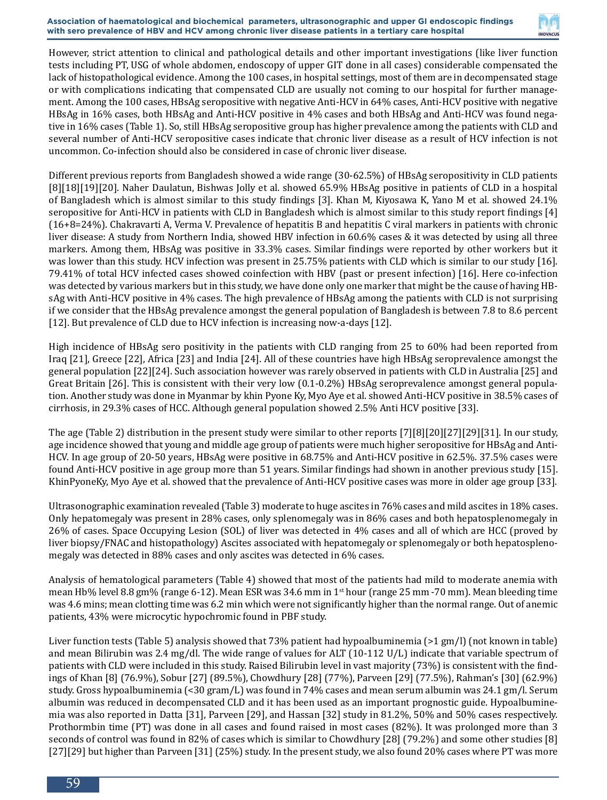

However, strict attention to clinical and pathological details and other important investigations (like liver function tests including PT, USG of whole abdomen, endoscopy of upper GIT done in all cases) considerable compensated the lack of histopathological evidence. Among the 100 cases, in hospital settings, most of them are in decompensated stage or with complications indicating that compensated CLD are usually not coming to our hospital for further management. Among the 100 cases, HBsAg seropositive with negative Anti-HCV in 64% cases, Anti-HCV positive with negative HBsAg in 16% cases, both HBsAg and Anti-HCV positive in 4% cases and both HBsAg and Anti-HCV was found negative in 16% cases (Table 1). So, still HBsAg seropositive group has higher prevalence among the patients with CLD and several number of Anti-HCV seropositive cases indicate that chronic liver disease as a result of HCV infection is not uncommon. Co-infection should also be considered in case of chronic liver disease.

Different previous reports from Bangladesh showed a wide range (30-62.5%) of HBsAg seropositivity in CLD patients [8][18][19][20]. Naher Daulatun, Bishwas Jolly et al. showed 65.9% HBsAg positive in patients of CLD in a hospital of Bangladesh which is almost similar to this study findings [3]. Khan M, Kiyosawa K, Yano M et al. showed 24.1% seropositive for Anti-HCV in patients with CLD in Bangladesh which is almost similar to this study report findings [4] (16+8=24%). Chakravarti A, Verma V. Prevalence of hepatitis B and hepatitis C viral markers in patients with chronic liver disease: A study from Northern India, showed HBV infection in 60.6% cases & it was detected by using all three markers. Among them, HBsAg was positive in 33.3% cases. Similar findings were reported by other workers but it was lower than this study. HCV infection was present in 25.75% patients with CLD which is similar to our study [16]. 79.41% of total HCV infected cases showed coinfection with HBV (past or present infection) [16]. Here co-infection was detected by various markers but in this study, we have done only one marker that might be the cause of having HBsAg with Anti-HCV positive in 4% cases. The high prevalence of HBsAg among the patients with CLD is not surprising if we consider that the HBsAg prevalence amongst the general population of Bangladesh is between 7.8 to 8.6 percent [12]. But prevalence of CLD due to HCV infection is increasing now-a-days [12].

High incidence of HBsAg sero positivity in the patients with CLD ranging from 25 to 60% had been reported from Iraq [21], Greece [22], Africa [23] and India [24]. All of these countries have high HBsAg seroprevalence amongst the general population [22][24]. Such association however was rarely observed in patients with CLD in Australia [25] and Great Britain [26]. This is consistent with their very low (0.1-0.2%) HBsAg seroprevalence amongst general population. Another study was done in Myanmar by khin Pyone Ky, Myo Aye et al. showed Anti-HCV positive in 38.5% cases of cirrhosis, in 29.3% cases of HCC. Although general population showed 2.5% Anti HCV positive [33].

The age (Table 2) distribution in the present study were similar to other reports [7][8][20][27][29][31]. In our study, age incidence showed that young and middle age group of patients were much higher seropositive for HBsAg and Anti-HCV. In age group of 20-50 years, HBsAg were positive in 68.75% and Anti-HCV positive in 62.5%. 37.5% cases were found Anti-HCV positive in age group more than 51 years. Similar findings had shown in another previous study [15]. KhinPyoneKy, Myo Aye et al. showed that the prevalence of Anti-HCV positive cases was more in older age group [33].

Ultrasonographic examination revealed (Table 3) moderate to huge ascites in 76% cases and mild ascites in 18% cases. Only hepatomegaly was present in 28% cases, only splenomegaly was in 86% cases and both hepatosplenomegaly in 26% of cases. Space Occupying Lesion (SOL) of liver was detected in 4% cases and all of which are HCC (proved by liver biopsy/FNAC and histopathology) Ascites associated with hepatomegaly or splenomegaly or both hepatosplenomegaly was detected in 88% cases and only ascites was detected in 6% cases.

Analysis of hematological parameters (Table 4) showed that most of the patients had mild to moderate anemia with mean Hb% level 8.8 gm% (range 6-12). Mean ESR was 34.6 mm in 1<sup>st</sup> hour (range 25 mm -70 mm). Mean bleeding time was 4.6 mins; mean clotting time was 6.2 min which were not significantly higher than the normal range. Out of anemic patients, 43% were microcytic hypochromic found in PBF study.

Liver function tests (Table 5) analysis showed that 73% patient had hypoalbuminemia (>1 gm/l) (not known in table) and mean Bilirubin was 2.4 mg/dl. The wide range of values for ALT (10-112 U/L) indicate that variable spectrum of patients with CLD were included in this study. Raised Bilirubin level in vast majority (73%) is consistent with the findings of Khan [8] (76.9%), Sobur [27] (89.5%), Chowdhury [28] (77%), Parveen [29] (77.5%), Rahman's [30] (62.9%) study. Gross hypoalbuminemia (<30 gram/L) was found in 74% cases and mean serum albumin was 24.1 gm/l. Serum albumin was reduced in decompensated CLD and it has been used as an important prognostic guide. Hypoalbuminemia was also reported in Datta [31], Parveen [29], and Hassan [32] study in 81.2%, 50% and 50% cases respectively. Prothormbin time (PT) was done in all cases and found raised in most cases (82%). It was prolonged more than 3 seconds of control was found in 82% of cases which is similar to Chowdhury [28] (79.2%) and some other studies [8] [27][29] but higher than Parveen [31] (25%) study. In the present study, we also found 20% cases where PT was more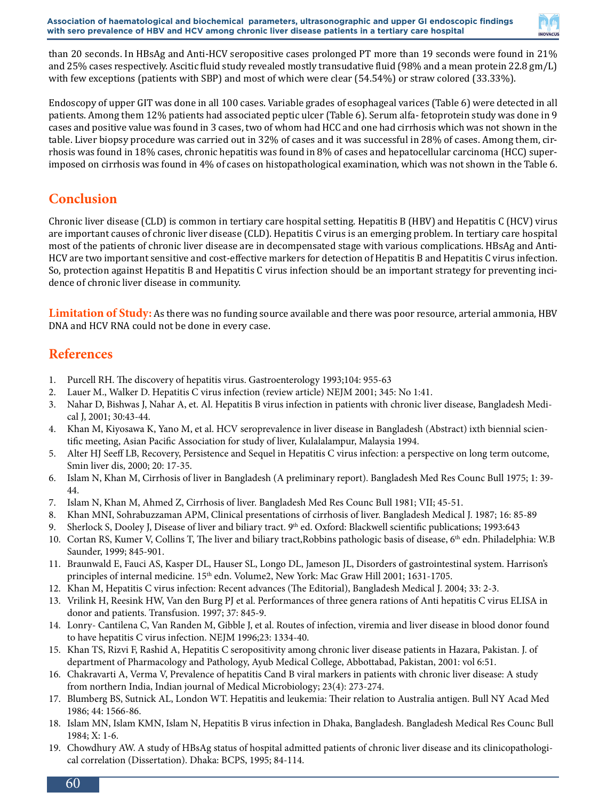

than 20 seconds. In HBsAg and Anti-HCV seropositive cases prolonged PT more than 19 seconds were found in 21% and 25% cases respectively. Ascitic fluid study revealed mostly transudative fluid (98% and a mean protein 22.8 gm/L) with few exceptions (patients with SBP) and most of which were clear (54.54%) or straw colored (33.33%).

Endoscopy of upper GIT was done in all 100 cases. Variable grades of esophageal varices (Table 6) were detected in all patients. Among them 12% patients had associated peptic ulcer (Table 6). Serum alfa- fetoprotein study was done in 9 cases and positive value was found in 3 cases, two of whom had HCC and one had cirrhosis which was not shown in the table. Liver biopsy procedure was carried out in 32% of cases and it was successful in 28% of cases. Among them, cirrhosis was found in 18% cases, chronic hepatitis was found in 8% of cases and hepatocellular carcinoma (HCC) superimposed on cirrhosis was found in 4% of cases on histopathological examination, which was not shown in the Table 6.

## **Conclusion**

Chronic liver disease (CLD) is common in tertiary care hospital setting. Hepatitis B (HBV) and Hepatitis C (HCV) virus are important causes of chronic liver disease (CLD). Hepatitis C virus is an emerging problem. In tertiary care hospital most of the patients of chronic liver disease are in decompensated stage with various complications. HBsAg and Anti-HCV are two important sensitive and cost-effective markers for detection of Hepatitis B and Hepatitis C virus infection. So, protection against Hepatitis B and Hepatitis C virus infection should be an important strategy for preventing incidence of chronic liver disease in community.

**Limitation of Study:** As there was no funding source available and there was poor resource, arterial ammonia, HBV DNA and HCV RNA could not be done in every case.

## **References**

- 1. Purcell RH. The discovery of hepatitis virus. Gastroenterology 1993;104: 955-63
- 2. Lauer M., Walker D. Hepatitis C virus infection (review article) NEJM 2001; 345: No 1:41.
- 3. Nahar D, Bishwas J, Nahar A, et. Al. Hepatitis B virus infection in patients with chronic liver disease, Bangladesh Medical J, 2001; 30:43-44.
- 4. Khan M, Kiyosawa K, Yano M, et al. HCV seroprevalence in liver disease in Bangladesh (Abstract) ixth biennial scientific meeting, Asian Pacific Association for study of liver, Kulalalampur, Malaysia 1994.
- 5. Alter HJ Seeff LB, Recovery, Persistence and Sequel in Hepatitis C virus infection: a perspective on long term outcome, Smin liver dis, 2000; 20: 17-35.
- 6. Islam N, Khan M, Cirrhosis of liver in Bangladesh (A preliminary report). Bangladesh Med Res Counc Bull 1975; 1: 39- 44.
- 7. Islam N, Khan M, Ahmed Z, Cirrhosis of liver. Bangladesh Med Res Counc Bull 1981; VII; 45-51.
- 8. Khan MNI, Sohrabuzzaman APM, Clinical presentations of cirrhosis of liver. Bangladesh Medical J. 1987; 16: 85-89
- 9. Sherlock S, Dooley J, Disease of liver and biliary tract. 9<sup>th</sup> ed. Oxford: Blackwell scientific publications; 1993:643
- 10. Cortan RS, Kumer V, Collins T, The liver and biliary tract,Robbins pathologic basis of disease, 6th edn. Philadelphia: W.B Saunder, 1999; 845-901.
- 11. Braunwald E, Fauci AS, Kasper DL, Hauser SL, Longo DL, Jameson JL, Disorders of gastrointestinal system. Harrison's principles of internal medicine. 15<sup>th</sup> edn. Volume2, New York: Mac Graw Hill 2001; 1631-1705.
- 12. Khan M, Hepatitis C virus infection: Recent advances (The Editorial), Bangladesh Medical J. 2004; 33: 2-3.
- 13. Vrilink H, Reesink HW, Van den Burg PJ et al. Performances of three genera rations of Anti hepatitis C virus ELISA in donor and patients. Transfusion. 1997; 37: 845-9.
- 14. Lonry- Cantilena C, Van Randen M, Gibble J, et al. Routes of infection, viremia and liver disease in blood donor found to have hepatitis C virus infection. NEJM 1996;23: 1334-40.
- 15. Khan TS, Rizvi F, Rashid A, Hepatitis C seropositivity among chronic liver disease patients in Hazara, Pakistan. J. of department of Pharmacology and Pathology, Ayub Medical College, Abbottabad, Pakistan, 2001: vol 6:51.
- 16. Chakravarti A, Verma V, Prevalence of hepatitis Cand B viral markers in patients with chronic liver disease: A study from northern India, Indian journal of Medical Microbiology; 23(4): 273-274.
- 17. Blumberg BS, Sutnick AL, London WT. Hepatitis and leukemia: Their relation to Australia antigen. Bull NY Acad Med 1986; 44: 1566-86.
- 18. Islam MN, Islam KMN, Islam N, Hepatitis B virus infection in Dhaka, Bangladesh. Bangladesh Medical Res Counc Bull 1984; X: 1-6.
- 19. Chowdhury AW. A study of HBsAg status of hospital admitted patients of chronic liver disease and its clinicopathological correlation (Dissertation). Dhaka: BCPS, 1995; 84-114.